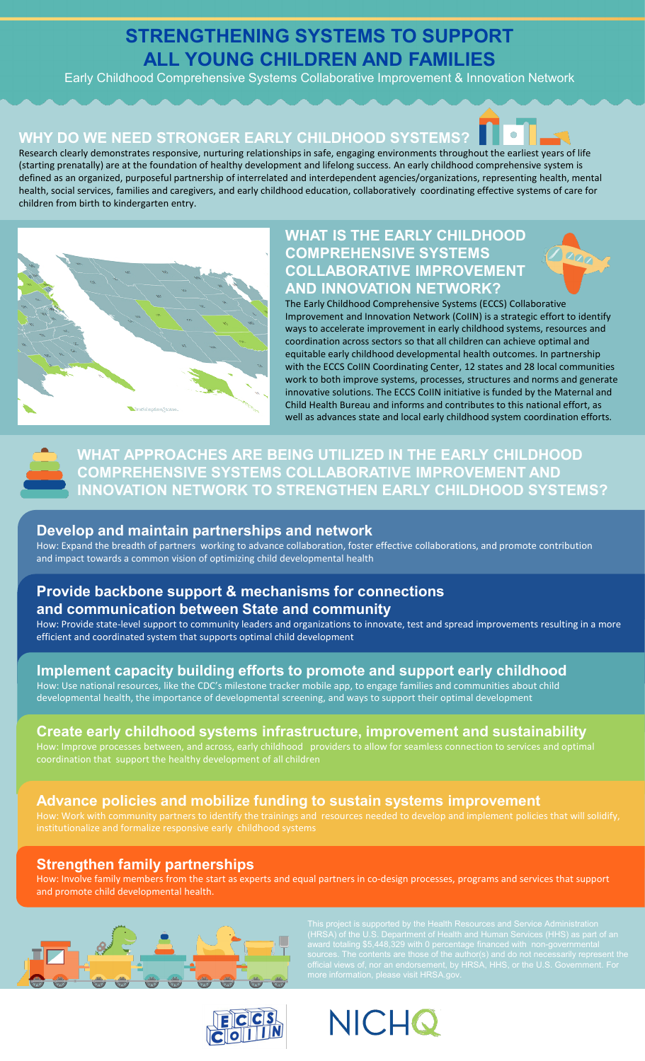# **STRENGTHENING SYSTEMS TO SUPPORT ALL YOUNG CHILDREN AND FAMILIES**

Early Childhood Comprehensive Systems Collaborative Improvement & Innovation Network

## **WHY DO WE NEED STRONGER EARLY CHILDHOOD SYSTEMS?**



Research clearly demonstrates responsive, nurturing relationships in safe, engaging environments throughout the earliest years of life (starting prenatally) are at the foundation of healthy development and lifelong success. An early childhood comprehensive system is defined as an organized, purposeful partnership of interrelated and interdependent agencies/organizations, representing health, mental health, social services, families and caregivers, and early childhood education, collaboratively coordinating effective systems of care for children from birth to kindergarten entry.



## **WHAT IS THE EARLY CHILDHOOD COMPREHENSIVE SYSTEMS COLLABORATIVE IMPROVEMENT AND INNOVATION NETWORK?**





**WHAT APPROACHES ARE BEING UTILIZED IN THE EARLY CHILDHOOD COMPREHENSIVE SYSTEMS COLLABORATIVE IMPROVEMENT AND INNOVATION NETWORK TO STRENGTHEN EARLY CHILDHOOD SYSTEMS?**

#### **Develop and maintain partnerships and network**

How: Expand the breadth of partners working to advance collaboration, foster effective collaborations, and promote contribution and impact towards a common vision of optimizing child developmental health

## **Provide backbone support & mechanisms for connections and communication between State and community**

How: Provide state-level support to community leaders and organizations to innovate, test and spread improvements resulting in a more efficient and coordinated system that supports optimal child development

## **Implement capacity building efforts to promote and support early childhood**

How: Use national resources, like the CDC's milestone tracker mobile app, to engage families and communities about child developmental health, the importance of developmental screening, and ways to support their optimal development

#### **Create early childhood systems infrastructure, improvement and sustainability**

coordination that support the healthy development of all children

#### **Advance policies and mobilize funding to sustain systems improvement**

#### **Strengthen family partnerships**

How: Involve family members from the start as experts and equal partners in co-design processes, programs and services that support and promote child developmental health.



(HRSA) of the U.S. Department of Health and Human Services (HHS) as part of an



**NICHQ**